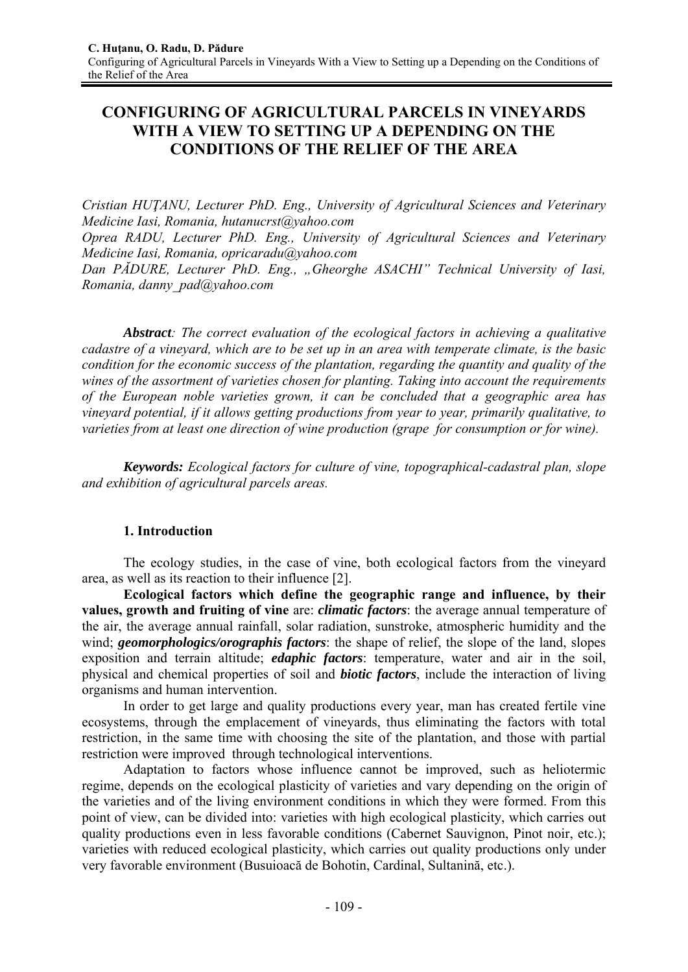# **CONFIGURING OF AGRICULTURAL PARCELS IN VINEYARDS WITH A VIEW TO SETTING UP A DEPENDING ON THE CONDITIONS OF THE RELIEF OF THE AREA**

*Cristian HUŢANU, Lecturer PhD. Eng., University of Agricultural Sciences and Veterinary Medicine Iasi, Romania, hutanucrst@yahoo.com* 

*Oprea RADU, Lecturer PhD. Eng., University of Agricultural Sciences and Veterinary Medicine Iasi, Romania, opricaradu@yahoo.com* 

*Dan PĂDURE, Lecturer PhD. Eng., "Gheorghe ASACHI" Technical University of Iasi, Romania, danny\_pad@yahoo.com* 

*Abstract: The correct evaluation of the ecological factors in achieving a qualitative cadastre of a vineyard, which are to be set up in an area with temperate climate, is the basic condition for the economic success of the plantation, regarding the quantity and quality of the wines of the assortment of varieties chosen for planting. Taking into account the requirements of the European noble varieties grown, it can be concluded that a geographic area has vineyard potential, if it allows getting productions from year to year, primarily qualitative, to varieties from at least one direction of wine production (grape for consumption or for wine).* 

*Keywords: Ecological factors for culture of vine, topographical-cadastral plan, slope and exhibition of agricultural parcels areas.* 

# **1. Introduction**

The ecology studies, in the case of vine, both ecological factors from the vineyard area, as well as its reaction to their influence [2].

**Ecological factors which define the geographic range and influence, by their values, growth and fruiting of vine** are: *climatic factors*: the average annual temperature of the air, the average annual rainfall, solar radiation, sunstroke, atmospheric humidity and the wind; *geomorphologics/orographis factors*: the shape of relief, the slope of the land, slopes exposition and terrain altitude; *edaphic factors*: temperature, water and air in the soil, physical and chemical properties of soil and *biotic factors*, include the interaction of living organisms and human intervention.

In order to get large and quality productions every year, man has created fertile vine ecosystems, through the emplacement of vineyards, thus eliminating the factors with total restriction, in the same time with choosing the site of the plantation, and those with partial restriction were improved through technological interventions.

Adaptation to factors whose influence cannot be improved, such as heliotermic regime, depends on the ecological plasticity of varieties and vary depending on the origin of the varieties and of the living environment conditions in which they were formed. From this point of view, can be divided into: varieties with high ecological plasticity, which carries out quality productions even in less favorable conditions (Cabernet Sauvignon, Pinot noir, etc.); varieties with reduced ecological plasticity, which carries out quality productions only under very favorable environment (Busuioacă de Bohotin, Cardinal, Sultanină, etc.).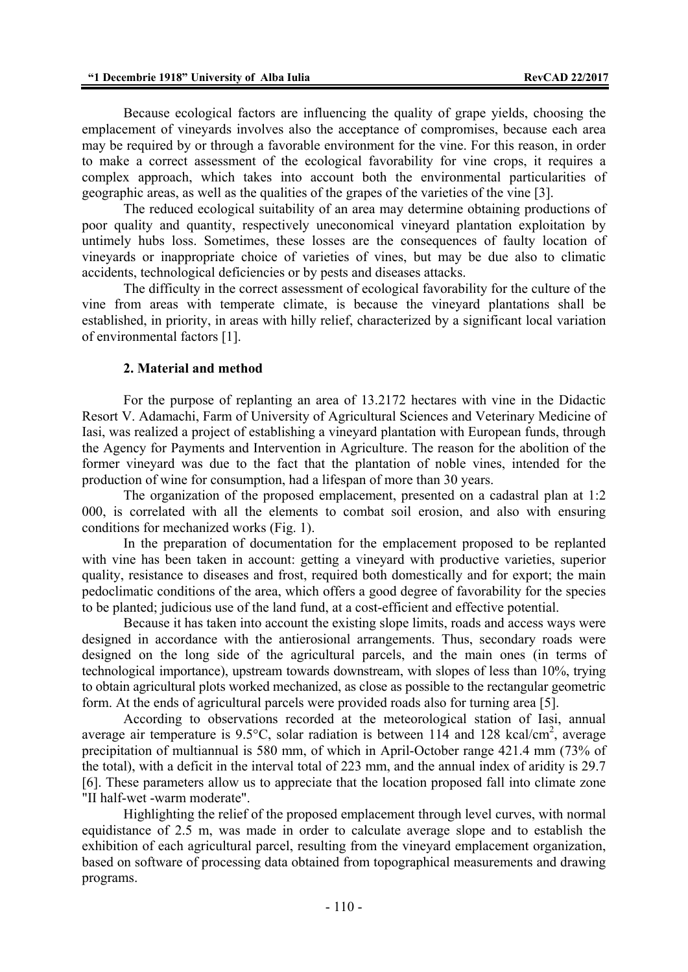Because ecological factors are influencing the quality of grape yields, choosing the emplacement of vineyards involves also the acceptance of compromises, because each area may be required by or through a favorable environment for the vine. For this reason, in order to make a correct assessment of the ecological favorability for vine crops, it requires a complex approach, which takes into account both the environmental particularities of geographic areas, as well as the qualities of the grapes of the varieties of the vine [3].

The reduced ecological suitability of an area may determine obtaining productions of poor quality and quantity, respectively uneconomical vineyard plantation exploitation by untimely hubs loss. Sometimes, these losses are the consequences of faulty location of vineyards or inappropriate choice of varieties of vines, but may be due also to climatic accidents, technological deficiencies or by pests and diseases attacks.

The difficulty in the correct assessment of ecological favorability for the culture of the vine from areas with temperate climate, is because the vineyard plantations shall be established, in priority, in areas with hilly relief, characterized by a significant local variation of environmental factors [1].

### **2. Material and method**

For the purpose of replanting an area of 13.2172 hectares with vine in the Didactic Resort V. Adamachi, Farm of University of Agricultural Sciences and Veterinary Medicine of Iasi, was realized a project of establishing a vineyard plantation with European funds, through the Agency for Payments and Intervention in Agriculture. The reason for the abolition of the former vineyard was due to the fact that the plantation of noble vines, intended for the production of wine for consumption, had a lifespan of more than 30 years.

The organization of the proposed emplacement, presented on a cadastral plan at 1:2 000, is correlated with all the elements to combat soil erosion, and also with ensuring conditions for mechanized works (Fig. 1).

In the preparation of documentation for the emplacement proposed to be replanted with vine has been taken in account: getting a vineyard with productive varieties, superior quality, resistance to diseases and frost, required both domestically and for export; the main pedoclimatic conditions of the area, which offers a good degree of favorability for the species to be planted; judicious use of the land fund, at a cost-efficient and effective potential.

Because it has taken into account the existing slope limits, roads and access ways were designed in accordance with the antierosional arrangements. Thus, secondary roads were designed on the long side of the agricultural parcels, and the main ones (in terms of technological importance), upstream towards downstream, with slopes of less than 10%, trying to obtain agricultural plots worked mechanized, as close as possible to the rectangular geometric form. At the ends of agricultural parcels were provided roads also for turning area [5].

According to observations recorded at the meteorological station of Iasi, annual average air temperature is 9.5°C, solar radiation is between 114 and 128 kcal/cm<sup>2</sup>, average precipitation of multiannual is 580 mm, of which in April-October range 421.4 mm (73% of the total), with a deficit in the interval total of 223 mm, and the annual index of aridity is 29.7 [6]. These parameters allow us to appreciate that the location proposed fall into climate zone "II half-wet -warm moderate".

Highlighting the relief of the proposed emplacement through level curves, with normal equidistance of 2.5 m, was made in order to calculate average slope and to establish the exhibition of each agricultural parcel, resulting from the vineyard emplacement organization, based on software of processing data obtained from topographical measurements and drawing programs.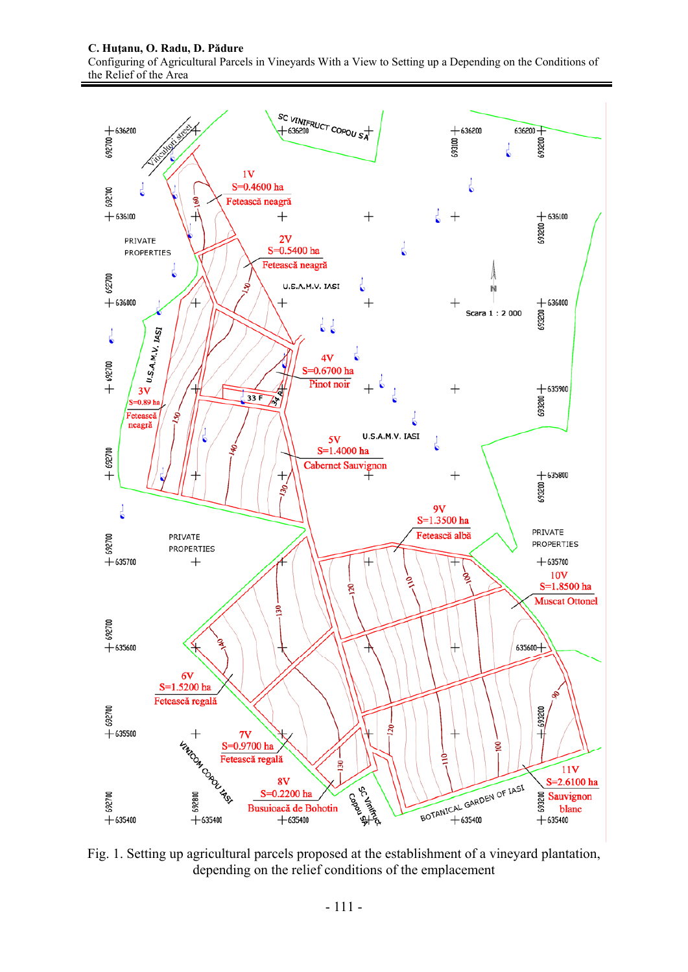#### **C. Huţanu, O. Radu, D. Pădure**

Configuring of Agricultural Parcels in Vineyards With a View to Setting up a Depending on the Conditions of the Relief of the Area



Fig. 1. Setting up agricultural parcels proposed at the establishment of a vineyard plantation, depending on the relief conditions of the emplacement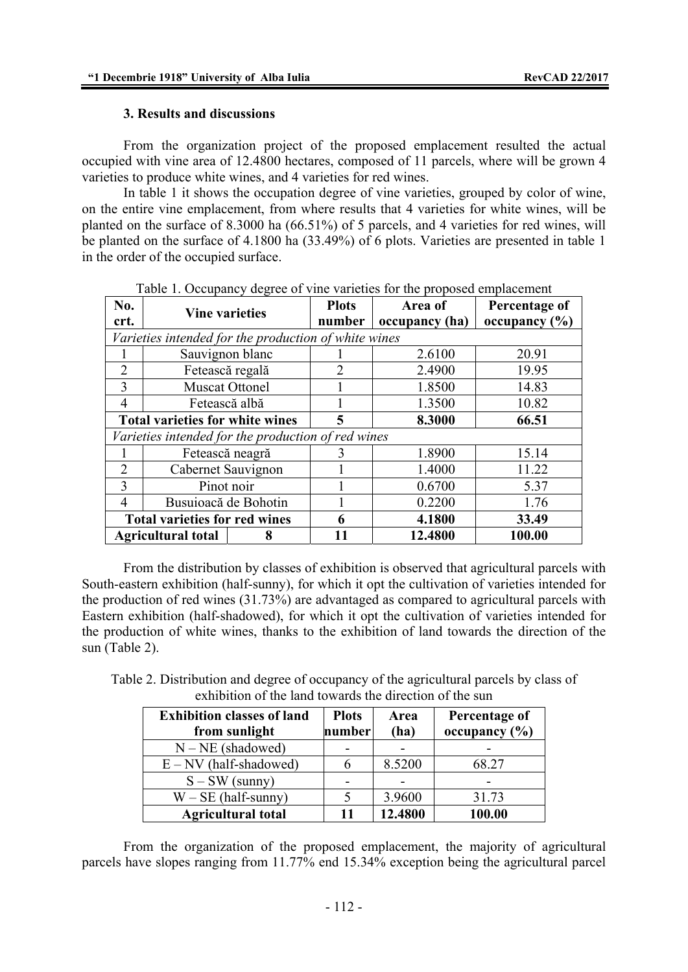# **3. Results and discussions**

From the organization project of the proposed emplacement resulted the actual occupied with vine area of 12.4800 hectares, composed of 11 parcels, where will be grown 4 varieties to produce white wines, and 4 varieties for red wines.

In table 1 it shows the occupation degree of vine varieties, grouped by color of wine, on the entire vine emplacement, from where results that 4 varieties for white wines, will be planted on the surface of 8.3000 ha (66.51%) of 5 parcels, and 4 varieties for red wines, will be planted on the surface of 4.1800 ha (33.49%) of 6 plots. Varieties are presented in table 1 in the order of the occupied surface.

| No.                                                | <b>Vine varieties</b>                                |  | <b>Plots</b> | Area of        | Percentage of     |
|----------------------------------------------------|------------------------------------------------------|--|--------------|----------------|-------------------|
| crt.                                               |                                                      |  | number       | occupancy (ha) | occupancy $(\% )$ |
|                                                    | Varieties intended for the production of white wines |  |              |                |                   |
|                                                    | Sauvignon blanc                                      |  |              | 2.6100         | 20.91             |
| $\overline{2}$                                     | Fetească regală                                      |  | 2            | 2.4900         | 19.95             |
| 3                                                  | <b>Muscat Ottonel</b>                                |  |              | 1.8500         | 14.83             |
| 4                                                  | Fetească albă                                        |  |              | 1.3500         | 10.82             |
| <b>Total varieties for white wines</b>             |                                                      |  | 5            | 8.3000         | 66.51             |
| Varieties intended for the production of red wines |                                                      |  |              |                |                   |
|                                                    | Fetească neagră                                      |  | 3            | 1.8900         | 15.14             |
| $\overline{2}$                                     | Cabernet Sauvignon                                   |  |              | 1.4000         | 11.22             |
| 3                                                  | Pinot noir                                           |  |              | 0.6700         | 5.37              |
| 4                                                  | Busuioacă de Bohotin                                 |  |              | 0.2200         | 1.76              |
| <b>Total varieties for red wines</b>               |                                                      |  | 6            | 4.1800         | 33.49             |
| <b>Agricultural total</b><br>8                     |                                                      |  | 12.4800      | 100.00         |                   |

Table 1. Occupancy degree of vine varieties for the proposed emplacement

From the distribution by classes of exhibition is observed that agricultural parcels with South-eastern exhibition (half-sunny), for which it opt the cultivation of varieties intended for the production of red wines (31.73%) are advantaged as compared to agricultural parcels with Eastern exhibition (half-shadowed), for which it opt the cultivation of varieties intended for the production of white wines, thanks to the exhibition of land towards the direction of the sun (Table 2).

Table 2. Distribution and degree of occupancy of the agricultural parcels by class of exhibition of the land towards the direction of the sun

| <b>Exhibition classes of land</b><br>from sunlight | <b>Plots</b><br>number | Area<br>(ha) | Percentage of<br>occupancy $(\% )$ |
|----------------------------------------------------|------------------------|--------------|------------------------------------|
| $N - NE$ (shadowed)                                |                        |              |                                    |
| $E - NV$ (half-shadowed)                           |                        | 8.5200       | 68.27                              |
| $S - SW$ (sunny)                                   |                        |              |                                    |
| $W - SE$ (half-sunny)                              |                        | 3.9600       | 31.73                              |
| <b>Agricultural total</b>                          | 11                     | 12.4800      | 100.00                             |

From the organization of the proposed emplacement, the majority of agricultural parcels have slopes ranging from 11.77% end 15.34% exception being the agricultural parcel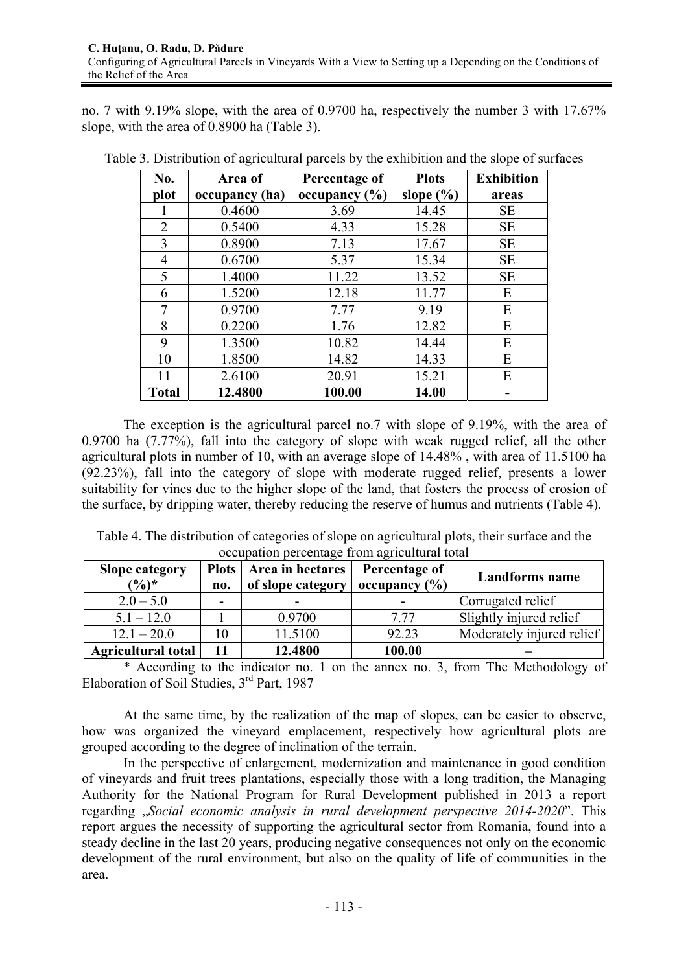no. 7 with 9.19% slope, with the area of 0.9700 ha, respectively the number 3 with 17.67% slope, with the area of 0.8900 ha (Table 3).

| No.            | Area of        | Percentage of     | <b>Plots</b>  | <b>Exhibition</b> |
|----------------|----------------|-------------------|---------------|-------------------|
| plot           | occupancy (ha) | occupancy $(\% )$ | slope $(\% )$ | areas             |
| 1              | 0.4600         | 3.69              | 14.45         | <b>SE</b>         |
| 2              | 0.5400         | 4.33              | 15.28         | <b>SE</b>         |
| 3              | 0.8900         | 7.13              | 17.67         | <b>SE</b>         |
| $\overline{4}$ | 0.6700         | 5.37              | 15.34         | <b>SE</b>         |
| 5              | 1.4000         | 11.22             | 13.52         | <b>SE</b>         |
| 6              | 1.5200         | 12.18             | 11.77         | E                 |
| 7              | 0.9700         | 7.77              | 9.19          | E                 |
| 8              | 0.2200         | 1.76              | 12.82         | E                 |
| 9              | 1.3500         | 10.82             | 14.44         | E                 |
| 10             | 1.8500         | 14.82             | 14.33         | E                 |
| 11             | 2.6100         | 20.91             | 15.21         | E                 |
| <b>Total</b>   | 12.4800        | 100.00            | 14.00         |                   |

Table 3. Distribution of agricultural parcels by the exhibition and the slope of surfaces

The exception is the agricultural parcel no.7 with slope of 9.19%, with the area of 0.9700 ha (7.77%), fall into the category of slope with weak rugged relief, all the other agricultural plots in number of 10, with an average slope of 14.48% , with area of 11.5100 ha (92.23%), fall into the category of slope with moderate rugged relief, presents a lower suitability for vines due to the higher slope of the land, that fosters the process of erosion of the surface, by dripping water, thereby reducing the reserve of humus and nutrients (Table 4).

Table 4. The distribution of categories of slope on agricultural plots, their surface and the occupation percentage from agricultural total

| <b>Slope category</b><br>$(\frac{6}{6})^*$ | no. | Plots   Area in hectares<br>of slope category | Percentage of<br>occupancy $(\% )$ | Landforms name            |
|--------------------------------------------|-----|-----------------------------------------------|------------------------------------|---------------------------|
| $2.0 - 5.0$                                |     |                                               |                                    | Corrugated relief         |
| $5.1 - 12.0$                               |     | 0.9700                                        | 7 77                               | Slightly injured relief   |
| $12.1 - 20.0$                              | 10  | 11.5100                                       | 92.23                              | Moderately injured relief |
| <b>Agricultural total</b>                  |     | 12.4800                                       | 100.00                             |                           |

\* According to the indicator no. 1 on the annex no. 3, from The Methodology of Elaboration of Soil Studies, 3rd Part, 1987

At the same time, by the realization of the map of slopes, can be easier to observe, how was organized the vineyard emplacement, respectively how agricultural plots are grouped according to the degree of inclination of the terrain.

In the perspective of enlargement, modernization and maintenance in good condition of vineyards and fruit trees plantations, especially those with a long tradition, the Managing Authority for the National Program for Rural Development published in 2013 a report regarding "*Social economic analysis in rural development perspective 2014-2020*". This report argues the necessity of supporting the agricultural sector from Romania, found into a steady decline in the last 20 years, producing negative consequences not only on the economic development of the rural environment, but also on the quality of life of communities in the area.